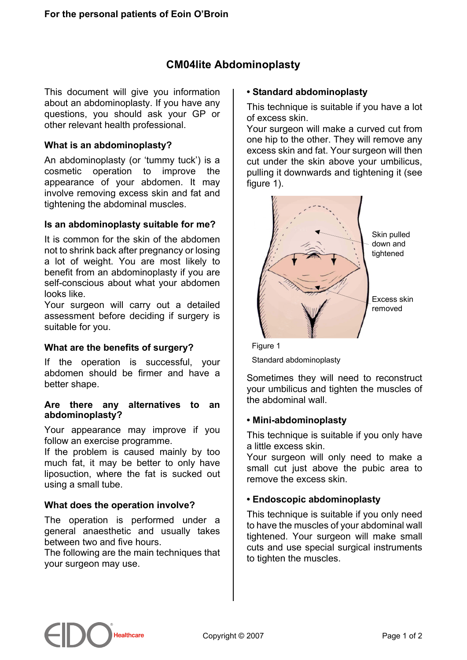# **CM04lite Abdominoplasty**

This document will give you information about an abdominoplasty. If you have any questions, you should ask your GP or other relevant health professional.

### **What is an abdominoplasty?**

An abdominoplasty (or 'tummy tuck') is a cosmetic operation to improve the appearance of your abdomen. It may involve removing excess skin and fat and tightening the abdominal muscles.

### **Is an abdominoplasty suitable for me?**

It is common for the skin of the abdomen not to shrink back after pregnancy or losing a lot of weight. You are most likely to benefit from an abdominoplasty if you are self-conscious about what your abdomen looks like.

Your surgeon will carry out a detailed assessment before deciding if surgery is suitable for you.

### **What are the benefits of surgery?**

If the operation is successful, your abdomen should be firmer and have a better shape.

#### **Are there any alternatives to an abdominoplasty?**

Your appearance may improve if you follow an exercise programme.

If the problem is caused mainly by too much fat, it may be better to only have liposuction, where the fat is sucked out using a small tube.

### **What does the operation involve?**

The operation is performed under a general anaesthetic and usually takes between two and five hours.

The following are the main techniques that your surgeon may use.

#### **• Standard abdominoplasty**

This technique is suitable if you have a lot of excess skin.

Your surgeon will make a curved cut from one hip to the other. They will remove any excess skin and fat. Your surgeon will then cut under the skin above your umbilicus, pulling it downwards and tightening it (see figure 1).



Figure 1 Standard abdominoplasty

Sometimes they will need to reconstruct your umbilicus and tighten the muscles of the abdominal wall.

#### **• Mini-abdominoplasty**

This technique is suitable if you only have a little excess skin.

Your surgeon will only need to make a small cut just above the pubic area to remove the excess skin.

#### **• Endoscopic abdominoplasty**

This technique is suitable if you only need to have the muscles of your abdominal wall tightened. Your surgeon will make small cuts and use special surgical instruments to tighten the muscles.